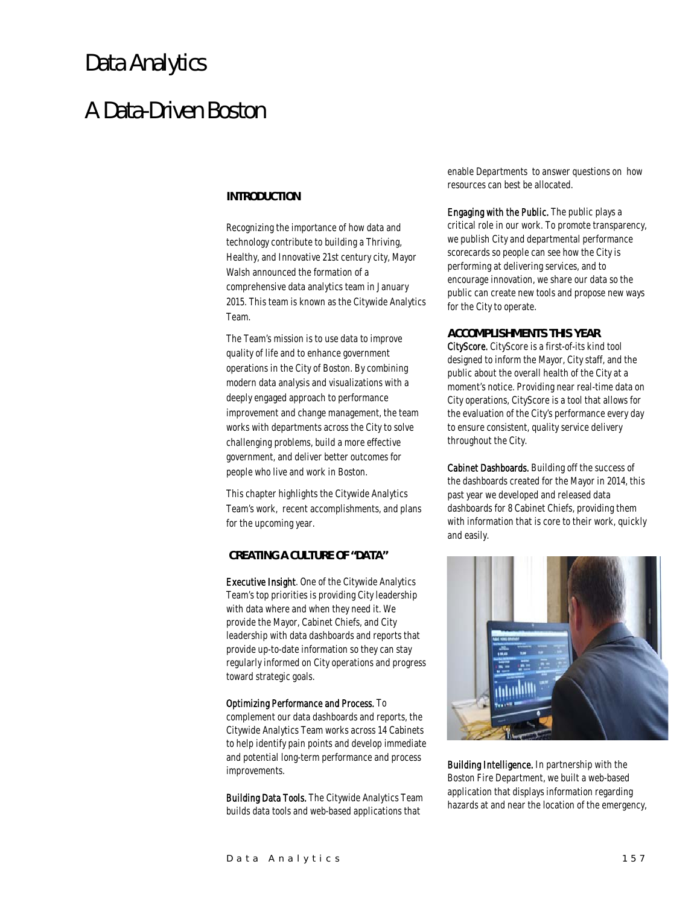# Data Analytics

# A Data-Driven Boston

#### *INTRODUCTION*

Recognizing the importance of how data and technology contribute to building a Thriving, Healthy, and Innovative 21st century city, Mayor Walsh announced the formation of a comprehensive data analytics team in January 2015. This team is known as the Citywide Analytics Team.

The Team's mission is to use data to improve quality of life and to enhance government operations in the City of Boston. By combining modern data analysis and visualizations with a deeply engaged approach to performance improvement and change management, the team works with departments across the City to solve challenging problems, build a more effective government, and deliver better outcomes for people who live and work in Boston.

This chapter highlights the Citywide Analytics Team's work, recent accomplishments, and plans for the upcoming year.

### *CREATING A CULTURE OF "DATA"*

Executive Insight. One of the Citywide Analytics Team's top priorities is providing City leadership with data where and when they need it. We provide the Mayor, Cabinet Chiefs, and City leadership with data dashboards and reports that provide up-to-date information so they can stay regularly informed on City operations and progress toward strategic goals.

### Optimizing Performance and Process. To

complement our data dashboards and reports, the Citywide Analytics Team works across 14 Cabinets to help identify pain points and develop immediate and potential long-term performance and process improvements.

**Building Data Tools.** The Citywide Analytics Team builds data tools and web-based applications that

enable Departments to answer questions on how resources can best be allocated.

Engaging with the Public. The public plays a critical role in our work. To promote transparency, we publish City and departmental performance scorecards so people can see how the City is performing at delivering services, and to encourage innovation, we share our data so the public can create new tools and propose new ways for the City to operate.

#### *ACCOMPLISHMENTS THIS YEAR*

CityScore. CityScore is a first-of-its kind tool designed to inform the Mayor, City staff, and the public about the overall health of the City at a moment's notice. Providing near real-time data on City operations, CityScore is a tool that allows for the evaluation of the City's performance every day to ensure consistent, quality service delivery throughout the City.

Cabinet Dashboards. Building off the success of the dashboards created for the Mayor in 2014, this past year we developed and released data dashboards for 8 Cabinet Chiefs, providing them with information that is core to their work, quickly and easily.



Building Intelligence. In partnership with the Boston Fire Department, we built a web-based application that displays information regarding hazards at and near the location of the emergency,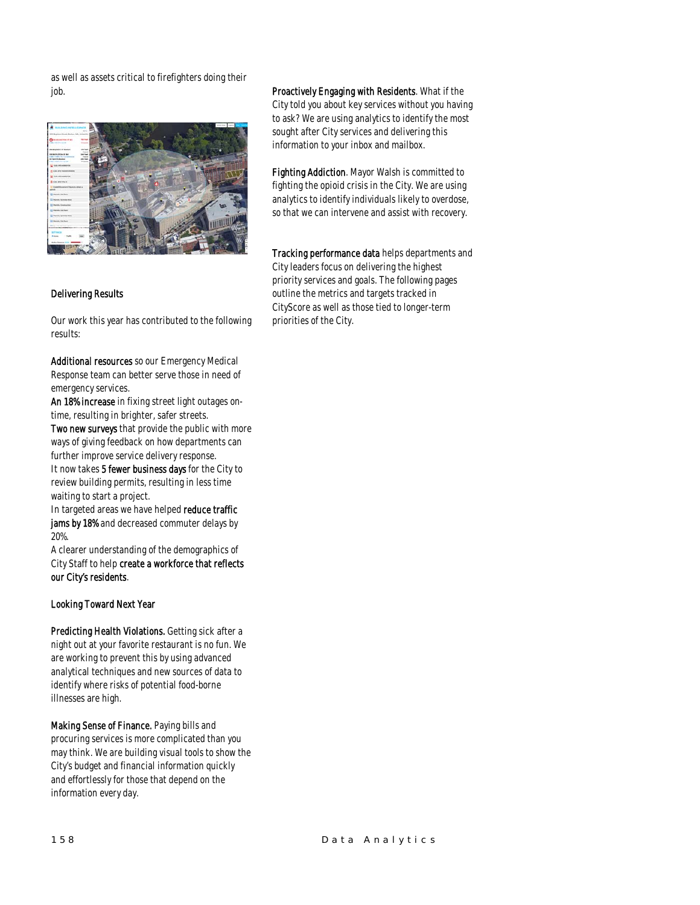as well as assets critical to firefighters doing their job.



Proactively Engaging with Residents. What if the City told you about key services without you having to ask? We are using analytics to identify the most sought after City services and delivering this information to your inbox and mailbox.

Fighting Addiction. Mayor Walsh is committed to fighting the opioid crisis in the City. We are using analytics to identify individuals likely to overdose, so that we can intervene and assist with recovery.

Tracking performance data helps departments and City leaders focus on delivering the highest priority services and goals. The following pages outline the metrics and targets tracked in CityScore as well as those tied to longer-term priorities of the City.

#### Delivering Results

Our work this year has contributed to the following results:

Additional resources so our Emergency Medical Response team can better serve those in need of emergency services.

An 18% increase in fixing street light outages ontime, resulting in brighter, safer streets.

Two new surveys that provide the public with more ways of giving feedback on how departments can further improve service delivery response.

It now takes 5 fewer business days for the City to review building permits, resulting in less time waiting to start a project.

In targeted areas we have helped reduce traffic jams by 18% and decreased commuter delays by 20%.

A clearer understanding of the demographics of City Staff to help create a workforce that reflects our City's residents.

#### Looking Toward Next Year

Predicting Health Violations. Getting sick after a night out at your favorite restaurant is no fun. We are working to prevent this by using advanced analytical techniques and new sources of data to identify where risks of potential food-borne illnesses are high.

Making Sense of Finance. Paying bills and procuring services is more complicated than you may think. We are building visual tools to show the City's budget and financial information quickly and effortlessly for those that depend on the information every day.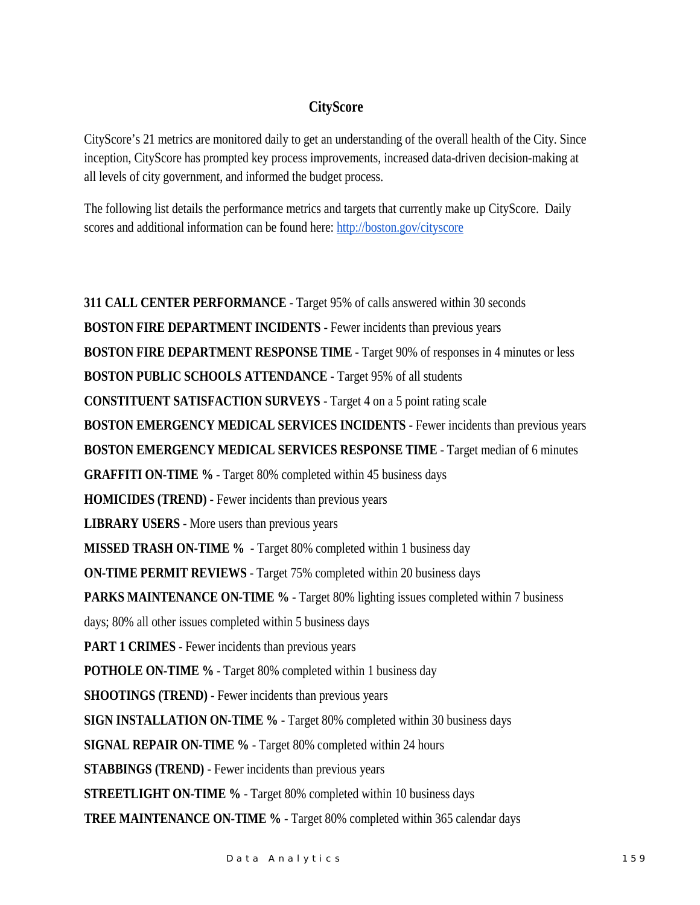## **CityScore**

CityScore's 21 metrics are monitored daily to get an understanding of the overall health of the City. Since inception, CityScore has prompted key process improvements, increased data-driven decision-making at all levels of city government, and informed the budget process.

The following list details the performance metrics and targets that currently make up CityScore. Daily scores and additional information can be found here: http://boston.gov/cityscore

**311 CALL CENTER PERFORMANCE** - Target 95% of calls answered within 30 seconds **BOSTON FIRE DEPARTMENT INCIDENTS** - Fewer incidents than previous years **BOSTON FIRE DEPARTMENT RESPONSE TIME** - Target 90% of responses in 4 minutes or less **BOSTON PUBLIC SCHOOLS ATTENDANCE** - Target 95% of all students **CONSTITUENT SATISFACTION SURVEYS** - Target 4 on a 5 point rating scale **BOSTON EMERGENCY MEDICAL SERVICES INCIDENTS** - Fewer incidents than previous years **BOSTON EMERGENCY MEDICAL SERVICES RESPONSE TIME** - Target median of 6 minutes **GRAFFITI ON-TIME %** - Target 80% completed within 45 business days **HOMICIDES (TREND)** - Fewer incidents than previous years **LIBRARY USERS** - More users than previous years **MISSED TRASH ON-TIME %** - Target 80% completed within 1 business day **ON-TIME PERMIT REVIEWS** - Target 75% completed within 20 business days **PARKS MAINTENANCE ON-TIME %** - Target 80% lighting issues completed within 7 business days; 80% all other issues completed within 5 business days **PART 1 CRIMES** - Fewer incidents than previous years **POTHOLE ON-TIME %** - Target 80% completed within 1 business day **SHOOTINGS (TREND)** - Fewer incidents than previous years **SIGN INSTALLATION ON-TIME %** - Target 80% completed within 30 business days **SIGNAL REPAIR ON-TIME %** - Target 80% completed within 24 hours **STABBINGS (TREND)** - Fewer incidents than previous years **STREETLIGHT ON-TIME %** - Target 80% completed within 10 business days **TREE MAINTENANCE ON-TIME %** - Target 80% completed within 365 calendar days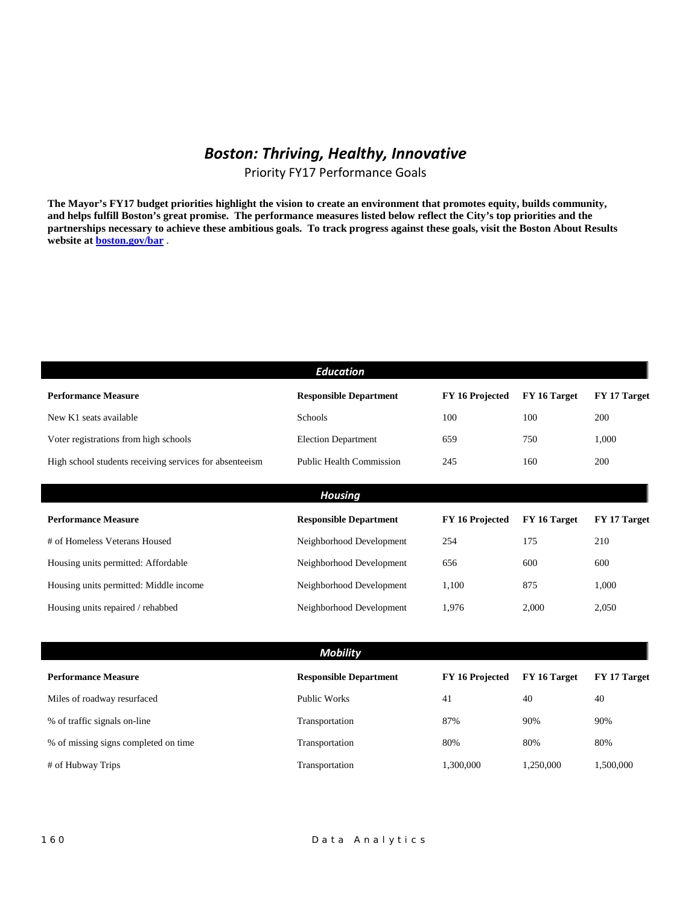## *Boston: Thriving, Healthy, Innovative*

Priority FY17 Performance Goals

**The Mayor's FY17 budget priorities highlight the vision to create an environment that promotes equity, builds community, and helps fulfill Boston's great promise. The performance measures listed below reflect the City's top priorities and the partnerships necessary to achieve these ambitious goals. To track progress against these goals, visit the Boston About Results website at boston.gov/bar** .

| <b>Education</b>                                        |                                 |                        |              |                     |
|---------------------------------------------------------|---------------------------------|------------------------|--------------|---------------------|
| <b>Performance Measure</b>                              | <b>Responsible Department</b>   | <b>FY 16 Projected</b> | FY 16 Target | FY 17 Target        |
| New K1 seats available                                  | <b>Schools</b>                  | 100                    | 100          | 200                 |
| Voter registrations from high schools                   | <b>Election Department</b>      | 659                    | 750          | 1,000               |
| High school students receiving services for absenteeism | <b>Public Health Commission</b> | 245                    | 160          | 200                 |
|                                                         |                                 |                        |              |                     |
| <b>Housing</b>                                          |                                 |                        |              |                     |
|                                                         |                                 |                        |              |                     |
| <b>Performance Measure</b>                              | <b>Responsible Department</b>   | FY 16 Projected        | FY 16 Target |                     |
| # of Homeless Veterans Housed                           | Neighborhood Development        | 254                    | 175          | 210                 |
| Housing units permitted: Affordable                     | Neighborhood Development        | 656                    | 600          | FY 17 Target<br>600 |
| Housing units permitted: Middle income                  | Neighborhood Development        | 1,100                  | 875          | 1,000               |
| Housing units repaired / rehabbed                       | Neighborhood Development        | 1,976                  | 2,000        | 2,050               |

| Mobility                             |                               |                 |              |              |
|--------------------------------------|-------------------------------|-----------------|--------------|--------------|
| <b>Performance Measure</b>           | <b>Responsible Department</b> | FY 16 Projected | FY 16 Target | FY 17 Target |
| Miles of roadway resurfaced          | Public Works                  | 41              | 40           | 40           |
| % of traffic signals on-line         | Transportation                | 87%             | 90%          | 90%          |
| % of missing signs completed on time | Transportation                | 80%             | 80%          | 80%          |
| # of Hubway Trips                    | Transportation                | 1.300.000       | 1.250.000    | 1.500.000    |